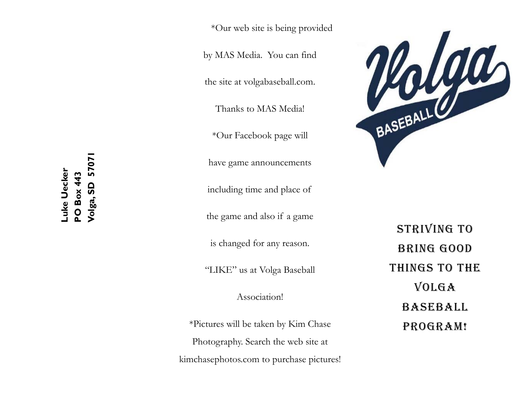by MAS Media. You can find

the site at volgabaseball.com.

Thanks to MAS Media!

\*Our Facebook page will

have game announcements

including time and place of

the game and also if a game

is changed for any reason.

"LIKE" us at Volga Baseball

Association!

\*Pictures will be taken by Kim Chase Photography. Search the web site at kimchasephotos.com to purchase pictures!



STRIVING TO BRING GOOD THINGS TO THE VOLGA BASEBALL PROGRAM!

**Volga, SD 57071**  5707 **Luke Uecker**  -uke Uecker **PO Box 443 PO Box 443** Volga, SD